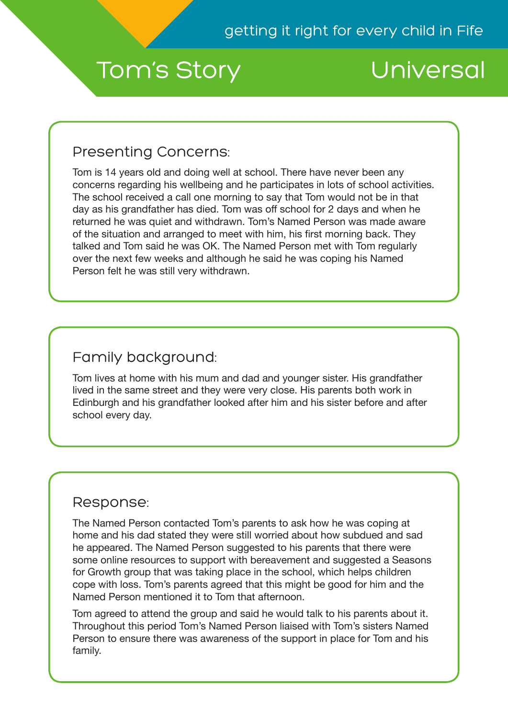# Tom's Story Universal

### Presenting Concerns:

Tom is 14 years old and doing well at school. There have never been any concerns regarding his wellbeing and he participates in lots of school activities. The school received a call one morning to say that Tom would not be in that day as his grandfather has died. Tom was off school for 2 days and when he returned he was quiet and withdrawn. Tom's Named Person was made aware of the situation and arranged to meet with him, his first morning back. They talked and Tom said he was OK. The Named Person met with Tom regularly over the next few weeks and although he said he was coping his Named Person felt he was still very withdrawn.

## Family background:

Tom lives at home with his mum and dad and younger sister. His grandfather lived in the same street and they were very close. His parents both work in Edinburgh and his grandfather looked after him and his sister before and after school every day.

#### Response:

The Named Person contacted Tom's parents to ask how he was coping at home and his dad stated they were still worried about how subdued and sad he appeared. The Named Person suggested to his parents that there were some online resources to support with bereavement and suggested a Seasons for Growth group that was taking place in the school, which helps children cope with loss. Tom's parents agreed that this might be good for him and the Named Person mentioned it to Tom that afternoon.

Tom agreed to attend the group and said he would talk to his parents about it. Throughout this period Tom's Named Person liaised with Tom's sisters Named Person to ensure there was awareness of the support in place for Tom and his family.